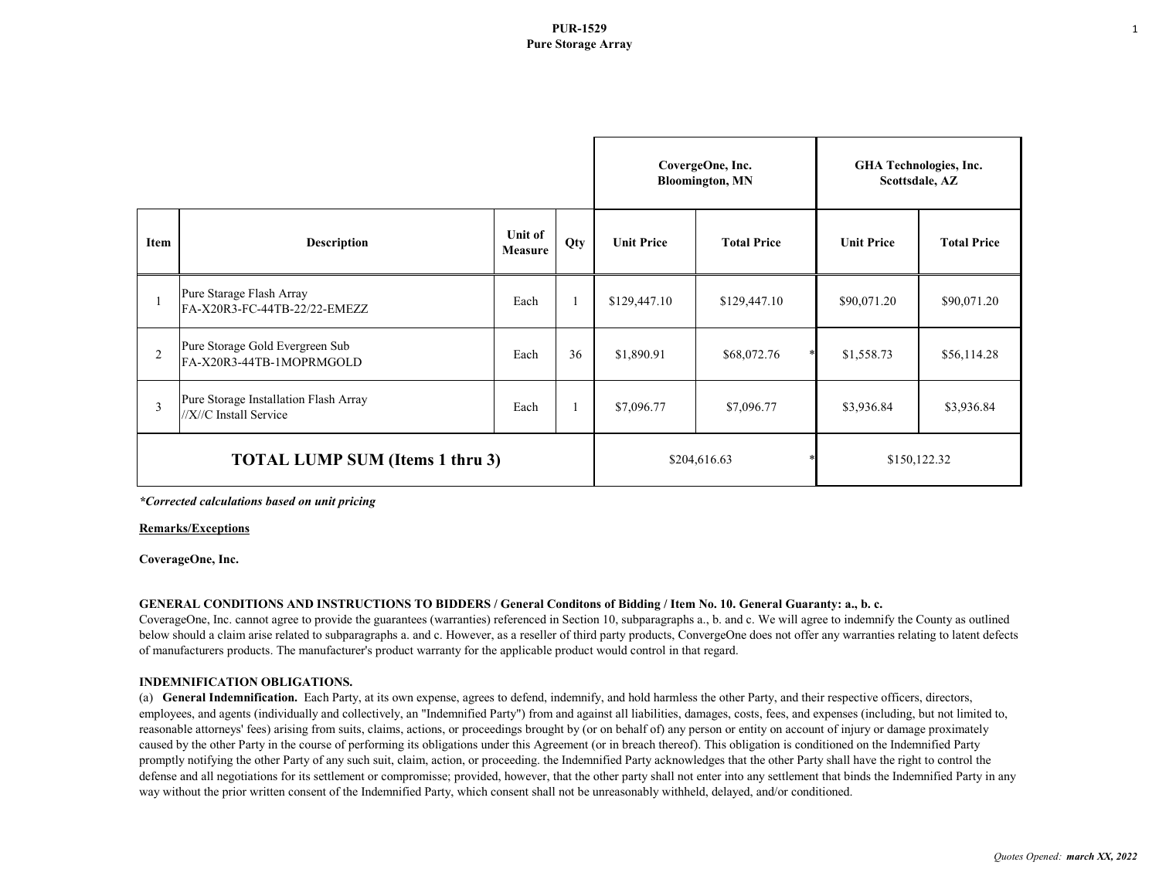## **PUR-1529 Pure Storage Array**

|                                        |                                                                 |                           |     | CovergeOne, Inc.<br><b>Bloomington, MN</b> |                    | <b>GHA Technologies, Inc.</b><br>Scottsdale, AZ |                    |
|----------------------------------------|-----------------------------------------------------------------|---------------------------|-----|--------------------------------------------|--------------------|-------------------------------------------------|--------------------|
| <b>Item</b>                            | <b>Description</b>                                              | Unit of<br><b>Measure</b> | Qty | <b>Unit Price</b>                          | <b>Total Price</b> | <b>Unit Price</b>                               | <b>Total Price</b> |
|                                        | Pure Starage Flash Array<br>FA-X20R3-FC-44TB-22/22-EMEZZ        | Each                      |     | \$129,447.10                               | \$129,447.10       | \$90,071.20                                     | \$90,071.20        |
| 2                                      | Pure Storage Gold Evergreen Sub<br>FA-X20R3-44TB-1MOPRMGOLD     | Each                      | 36  | \$1,890.91                                 | \$68,072.76        | \$1,558.73                                      | \$56,114.28        |
| $\overline{3}$                         | Pure Storage Installation Flash Array<br>//X//C Install Service | Each                      |     | \$7,096.77                                 | \$7,096.77         | \$3,936.84                                      | \$3,936.84         |
| <b>TOTAL LUMP SUM (Items 1 thru 3)</b> |                                                                 |                           |     | \$204,616.63                               |                    | \$150,122.32                                    |                    |

*\*Corrected calculations based on unit pricing*

### **Remarks/Exceptions**

**CoverageOne, Inc.**

### **GENERAL CONDITIONS AND INSTRUCTIONS TO BIDDERS / General Conditons of Bidding / Item No. 10. General Guaranty: a., b. c.**

CoverageOne, Inc. cannot agree to provide the guarantees (warranties) referenced in Section 10, subparagraphs a., b. and c. We will agree to indemnify the County as outlined below should a claim arise related to subparagraphs a. and c. However, as a reseller of third party products, ConvergeOne does not offer any warranties relating to latent defects of manufacturers products. The manufacturer's product warranty for the applicable product would control in that regard.

### **INDEMNIFICATION OBLIGATIONS.**

(a) **General Indemnification.** Each Party, at its own expense, agrees to defend, indemnify, and hold harmless the other Party, and their respective officers, directors, employees, and agents (individually and collectively, an "Indemnified Party") from and against all liabilities, damages, costs, fees, and expenses (including, but not limited to, reasonable attorneys' fees) arising from suits, claims, actions, or proceedings brought by (or on behalf of) any person or entity on account of injury or damage proximately caused by the other Party in the course of performing its obligations under this Agreement (or in breach thereof). This obligation is conditioned on the Indemnified Party promptly notifying the other Party of any such suit, claim, action, or proceeding. the Indemnified Party acknowledges that the other Party shall have the right to control the defense and all negotiations for its settlement or compromisse; provided, however, that the other party shall not enter into any settlement that binds the Indemnified Party in any way without the prior written consent of the Indemnified Party, which consent shall not be unreasonably withheld, delayed, and/or conditioned.